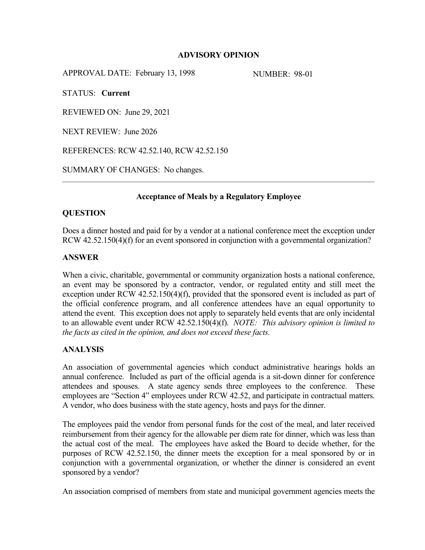# **ADVISORY OPINION**

APPROVAL DATE: February 13, 1998 NUMBER: 98-01

STATUS: **Current**

REVIEWED ON: June 29, 2021

NEXT REVIEW: June 2026

REFERENCES: RCW 42.52.140, RCW 42.52.150

SUMMARY OF CHANGES: No changes.

# **Acceptance of Meals by a Regulatory Employee**

### **QUESTION**

Does a dinner hosted and paid for by a vendor at a national conference meet the exception under RCW 42.52.150(4)(f) for an event sponsored in conjunction with a governmental organization?

## **ANSWER**

When a civic, charitable, governmental or community organization hosts a national conference, an event may be sponsored by a contractor, vendor, or regulated entity and still meet the exception under RCW 42.52.150(4)(f), provided that the sponsored event is included as part of the official conference program, and all conference attendees have an equal opportunity to attend the event. This exception does not apply to separately held events that are only incidental to an allowable event under RCW 42.52.150(4)(f). *NOTE: This advisory opinion is limited to the facts as cited in the opinion, and does not exceed these facts.*

# **ANALYSIS**

An association of governmental agencies which conduct administrative hearings holds an annual conference. Included as part of the official agenda is a sit-down dinner for conference attendees and spouses. A state agency sends three employees to the conference. These employees are "Section 4" employees under RCW 42.52, and participate in contractual matters. A vendor, who does business with the state agency, hosts and pays for the dinner.

The employees paid the vendor from personal funds for the cost of the meal, and later received reimbursement from their agency for the allowable per diem rate for dinner, which was less than the actual cost of the meal. The employees have asked the Board to decide whether, for the purposes of RCW 42.52.150, the dinner meets the exception for a meal sponsored by or in conjunction with a governmental organization, or whether the dinner is considered an event sponsored by a vendor?

An association comprised of members from state and municipal government agencies meets the